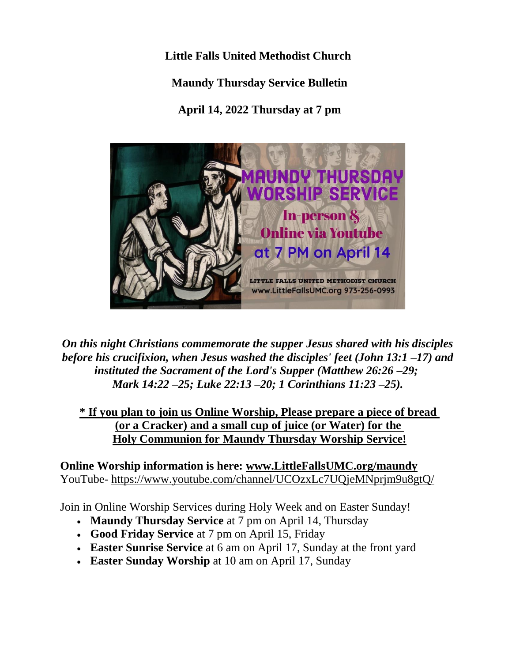**Little Falls United Methodist Church Maundy Thursday Service Bulletin April 14, 2022 Thursday at 7 pm**



*On this night Christians commemorate the supper Jesus shared with his disciples before his crucifixion, when Jesus washed the disciples' feet (John 13:1 –17) and instituted the Sacrament of the Lord's Supper (Matthew 26:26 –29; Mark 14:22 –25; Luke 22:13 –20; 1 Corinthians 11:23 –25).*

**\* If you plan to join us Online Worship, Please prepare a piece of bread (or a Cracker) and a small cup of juice (or Water) for the Holy Communion for Maundy Thursday Worship Service!**

**Online Worship information is here: [www.LittleFallsUMC.org/maundy](http://www.littlefallsumc.org/maundy)** YouTube- <https://www.youtube.com/channel/UCOzxLc7UQjeMNprjm9u8gtQ/>

Join in Online Worship Services during Holy Week and on Easter Sunday!

- **Maundy Thursday Service** at 7 pm on April 14, Thursday
- **Good Friday Service** at 7 pm on April 15, Friday
- **Easter Sunrise Service** at 6 am on April 17, Sunday at the front yard
- **Easter Sunday Worship** at 10 am on April 17, Sunday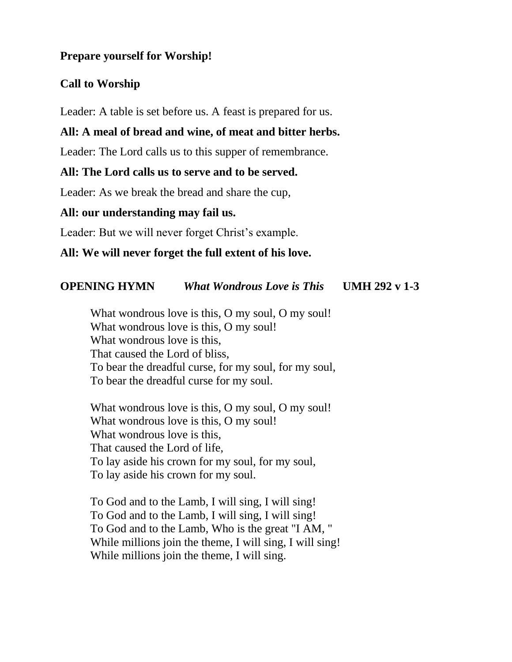#### **Prepare yourself for Worship!**

# **Call to Worship**

Leader: A table is set before us. A feast is prepared for us.

# **All: A meal of bread and wine, of meat and bitter herbs.**

Leader: The Lord calls us to this supper of remembrance.

### **All: The Lord calls us to serve and to be served.**

Leader: As we break the bread and share the cup,

### **All: our understanding may fail us.**

Leader: But we will never forget Christ's example.

# **All: We will never forget the full extent of his love.**

# **OPENING HYMN** *What Wondrous Love is This* **UMH 292 v 1-3**

What wondrous love is this, O my soul, O my soul! What wondrous love is this, O my soul! What wondrous love is this, That caused the Lord of bliss, To bear the dreadful curse, for my soul, for my soul, To bear the dreadful curse for my soul.

What wondrous love is this, O my soul, O my soul! What wondrous love is this, O my soul! What wondrous love is this, That caused the Lord of life, To lay aside his crown for my soul, for my soul, To lay aside his crown for my soul.

To God and to the Lamb, I will sing, I will sing! To God and to the Lamb, I will sing, I will sing! To God and to the Lamb, Who is the great "I AM, " While millions join the theme, I will sing, I will sing! While millions join the theme, I will sing.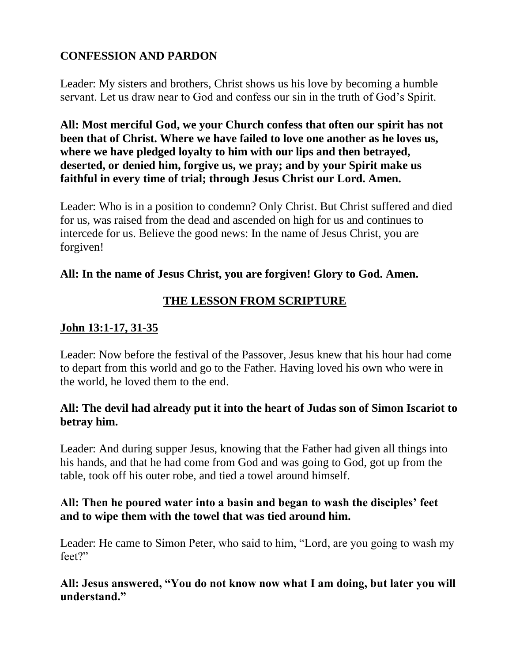# **CONFESSION AND PARDON**

Leader: My sisters and brothers, Christ shows us his love by becoming a humble servant. Let us draw near to God and confess our sin in the truth of God's Spirit.

**All: Most merciful God, we your Church confess that often our spirit has not been that of Christ. Where we have failed to love one another as he loves us, where we have pledged loyalty to him with our lips and then betrayed, deserted, or denied him, forgive us, we pray; and by your Spirit make us faithful in every time of trial; through Jesus Christ our Lord. Amen.**

Leader: Who is in a position to condemn? Only Christ. But Christ suffered and died for us, was raised from the dead and ascended on high for us and continues to intercede for us. Believe the good news: In the name of Jesus Christ, you are forgiven!

## **All: In the name of Jesus Christ, you are forgiven! Glory to God. Amen.**

# **THE LESSON FROM SCRIPTURE**

# **John 13:1-17, 31-35**

Leader: Now before the festival of the Passover, Jesus knew that his hour had come to depart from this world and go to the Father. Having loved his own who were in the world, he loved them to the end.

## **All: The devil had already put it into the heart of Judas son of Simon Iscariot to betray him.**

Leader: And during supper Jesus, knowing that the Father had given all things into his hands, and that he had come from God and was going to God, got up from the table, took off his outer robe, and tied a towel around himself.

## **All: Then he poured water into a basin and began to wash the disciples' feet and to wipe them with the towel that was tied around him.**

Leader: He came to Simon Peter, who said to him, "Lord, are you going to wash my feet?"

### **All: Jesus answered, "You do not know now what I am doing, but later you will understand."**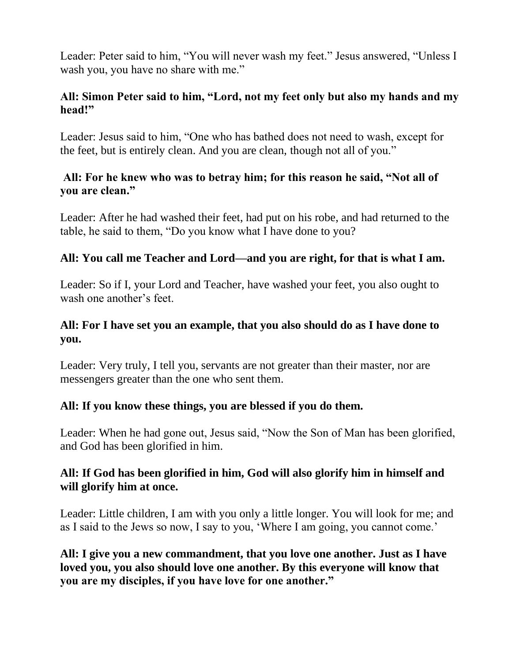Leader: Peter said to him, "You will never wash my feet." Jesus answered, "Unless I wash you, you have no share with me."

### **All: Simon Peter said to him, "Lord, not my feet only but also my hands and my head!"**

Leader: Jesus said to him, "One who has bathed does not need to wash, except for the feet, but is entirely clean. And you are clean, though not all of you."

### **All: For he knew who was to betray him; for this reason he said, "Not all of you are clean."**

Leader: After he had washed their feet, had put on his robe, and had returned to the table, he said to them, "Do you know what I have done to you?

### **All: You call me Teacher and Lord—and you are right, for that is what I am.**

Leader: So if I, your Lord and Teacher, have washed your feet, you also ought to wash one another's feet.

### **All: For I have set you an example, that you also should do as I have done to you.**

Leader: Very truly, I tell you, servants are not greater than their master, nor are messengers greater than the one who sent them.

#### **All: If you know these things, you are blessed if you do them.**

Leader: When he had gone out, Jesus said, "Now the Son of Man has been glorified, and God has been glorified in him.

### **All: If God has been glorified in him, God will also glorify him in himself and will glorify him at once.**

Leader: Little children, I am with you only a little longer. You will look for me; and as I said to the Jews so now, I say to you, 'Where I am going, you cannot come.'

**All: I give you a new commandment, that you love one another. Just as I have loved you, you also should love one another. By this everyone will know that you are my disciples, if you have love for one another."**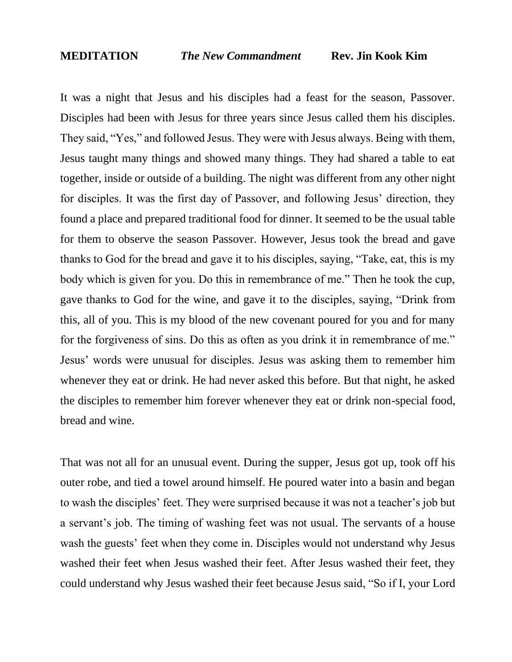It was a night that Jesus and his disciples had a feast for the season, Passover. Disciples had been with Jesus for three years since Jesus called them his disciples. They said, "Yes," and followed Jesus. They were with Jesus always. Being with them, Jesus taught many things and showed many things. They had shared a table to eat together, inside or outside of a building. The night was different from any other night for disciples. It was the first day of Passover, and following Jesus' direction, they found a place and prepared traditional food for dinner. It seemed to be the usual table for them to observe the season Passover. However, Jesus took the bread and gave thanks to God for the bread and gave it to his disciples, saying, "Take, eat, this is my body which is given for you. Do this in remembrance of me." Then he took the cup, gave thanks to God for the wine, and gave it to the disciples, saying, "Drink from this, all of you. This is my blood of the new covenant poured for you and for many for the forgiveness of sins. Do this as often as you drink it in remembrance of me." Jesus' words were unusual for disciples. Jesus was asking them to remember him whenever they eat or drink. He had never asked this before. But that night, he asked the disciples to remember him forever whenever they eat or drink non-special food, bread and wine.

That was not all for an unusual event. During the supper, Jesus got up, took off his outer robe, and tied a towel around himself. He poured water into a basin and began to wash the disciples' feet. They were surprised because it was not a teacher's job but a servant's job. The timing of washing feet was not usual. The servants of a house wash the guests' feet when they come in. Disciples would not understand why Jesus washed their feet when Jesus washed their feet. After Jesus washed their feet, they could understand why Jesus washed their feet because Jesus said, "So if I, your Lord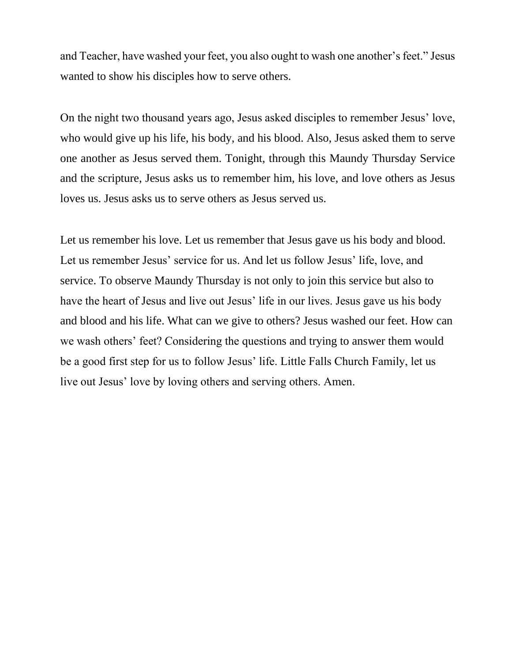and Teacher, have washed your feet, you also ought to wash one another's feet." Jesus wanted to show his disciples how to serve others.

On the night two thousand years ago, Jesus asked disciples to remember Jesus' love, who would give up his life, his body, and his blood. Also, Jesus asked them to serve one another as Jesus served them. Tonight, through this Maundy Thursday Service and the scripture, Jesus asks us to remember him, his love, and love others as Jesus loves us. Jesus asks us to serve others as Jesus served us.

Let us remember his love. Let us remember that Jesus gave us his body and blood. Let us remember Jesus' service for us. And let us follow Jesus' life, love, and service. To observe Maundy Thursday is not only to join this service but also to have the heart of Jesus and live out Jesus' life in our lives. Jesus gave us his body and blood and his life. What can we give to others? Jesus washed our feet. How can we wash others' feet? Considering the questions and trying to answer them would be a good first step for us to follow Jesus' life. Little Falls Church Family, let us live out Jesus' love by loving others and serving others. Amen.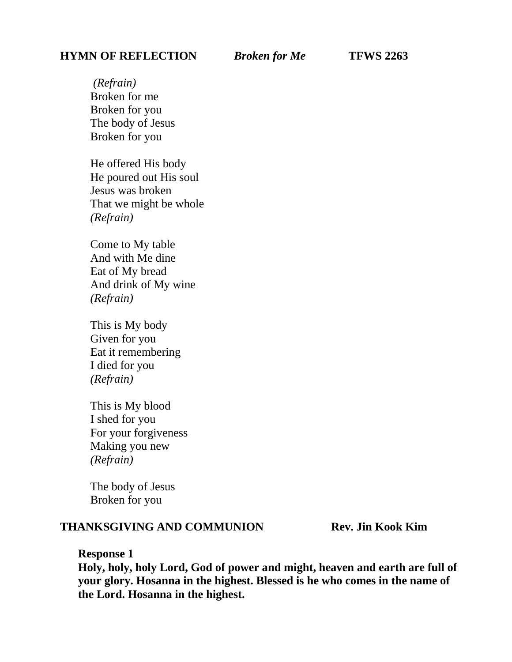#### **HYMN OF REFLECTION** *Broken for Me* **TFWS 2263**

*(Refrain)* Broken for me Broken for you The body of Jesus Broken for you

He offered His body He poured out His soul Jesus was broken That we might be whole *(Refrain)*

Come to My table And with Me dine Eat of My bread And drink of My wine *(Refrain)*

This is My body Given for you Eat it remembering I died for you *(Refrain)*

This is My blood I shed for you For your forgiveness Making you new *(Refrain)*

The body of Jesus Broken for you

### **THANKSGIVING AND COMMUNION Rev. Jin Kook Kim**

**Response 1**

**Holy, holy, holy Lord, God of power and might, heaven and earth are full of your glory. Hosanna in the highest. Blessed is he who comes in the name of the Lord. Hosanna in the highest.**